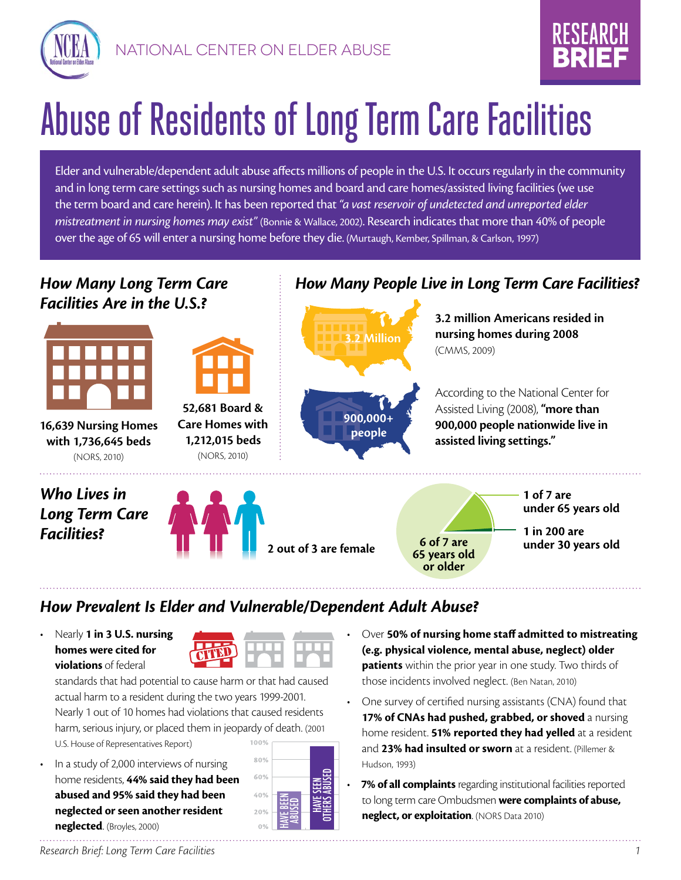



# Abuse of Residents of Long Term Care Facilities

Elder and vulnerable/dependent adult abuse affects millions of people in the U.S. It occurs regularly in the community and in long term care settings such as nursing homes and board and care homes/assisted living facilities (we use the term board and care herein). It has been reported that *"a vast reservoir of undetected and unreported elder mistreatment in nursing homes may exist"* (Bonnie & Wallace, 2002). Research indicates that more than 40% of people over the age of 65 will enter a nursing home before they die. (Murtaugh, Kember, Spillman, & Carlson, 1997)

#### *How Many Long Term Care Facilities Are in the U.S.?*



**16,639 Nursing Homes with 1,736,645 beds** (NORS, 2010)

#### *Who Lives in Long Term Care Facilities?*



**52,681 Board & Care Homes with 1,212,015 beds** (NORS, 2010)

## *How Many People Live in Long Term Care Facilities?*



**3.2 million Americans resided in nursing homes during 2008** (CMMS, 2009)

According to the National Center for Assisted Living (2008), **"more than 900,000 people nationwide live in assisted living settings."** 



#### *How Prevalent Is Elder and Vulnerable/Dependent Adult Abuse?*

• Nearly **1 in 3 U.S. nursing homes were cited for violations** of federal



standards that had potential to cause harm or that had caused actual harm to a resident during the two years 1999-2001. Nearly 1 out of 10 homes had violations that caused residents harm, serious injury, or placed them in jeopardy of death. (2001 100% U.S. House of Representatives Report)

In a study of 2,000 interviews of nursing home residents, **44% said they had been abused and 95% said they had been neglected or seen another resident neglected**. (Broyles, 2000)



- Over **50% of nursing home staff admitted to mistreating (e.g. physical violence, mental abuse, neglect) older patients** within the prior year in one study. Two thirds of those incidents involved neglect. (Ben Natan, 2010)
- One survey of certified nursing assistants (CNA) found that 17% of CNAs had pushed, grabbed, or shoved a nursing home resident. **51% reported they had yelled** at a resident and **23% had insulted or sworn** at a resident. (Pillemer & Hudson, 1993)
- 7% of all complaints regarding institutional facilities reported to long term care Ombudsmen **were complaints of abuse, neglect, or exploitation**. (NORS Data 2010)

*Research Brief: Long Term Care Facilities 1*